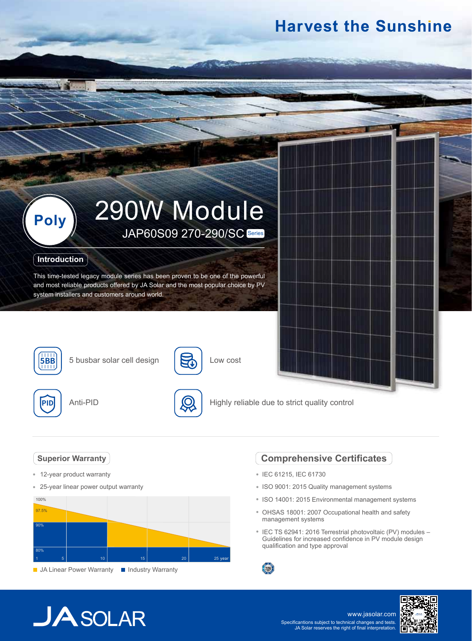## **Harvest the Sunshine**



### **Introduction**

This time-tested legacy module series has been proven to be one of the powerful and most reliable products offered by JA Solar and the most popular choice by PV system installers and customers around world.



**5BB** 5 busbar solar cell design





5

Low cost

Highly reliable due to strict quality control

### **Superior Warranty**

- 12-year product warranty
- $\hat{\mathbf{e}}$ 25-year linear power output warranty



### **Comprehensive Certificates**

- IEC 61215, IEC 61730
- ISO 9001: 2015 Quality management systems
- ISO 14001: 2015 Environmental management systems
- OHSAS 18001: 2007 Occupational health and safety management systems
- IEC TS 62941: 2016 Terrestrial photovoltaic (PV) modules -Guidelines for increased confidence in PV module design qualification and type approval



# $JASOLAR$

www.jasolar.com Specificantions subject to technical changes and tests. JA Solar reserves the right of final interpretation.